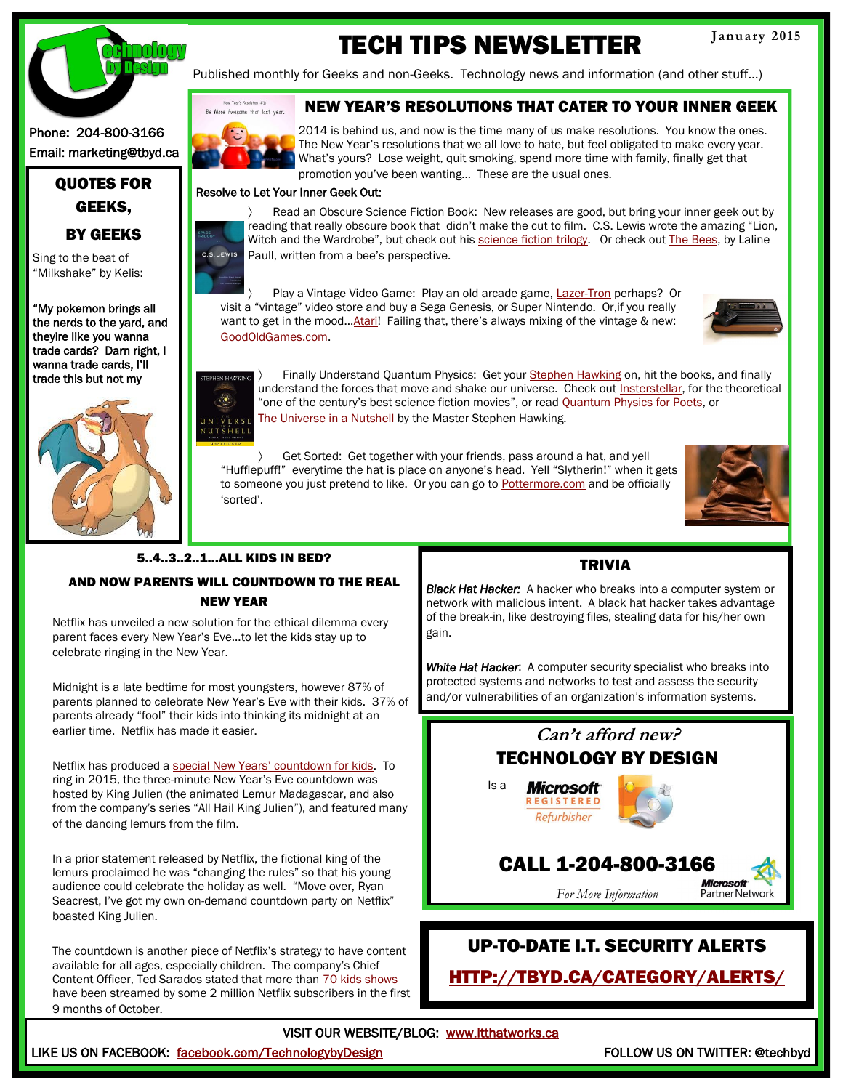

# TECH TIPS NEWSLETTER

Published monthly for Geeks and non-Geeks. Technology news and information (and other stuff…)

#### Phone: 204-800-3166 Email: marketing@tbyd.ca

### QUOTES FOR GEEKS, BY GEEKS

Sing to the beat of "Milkshake" by Kelis:

"My pokemon brings all the nerds to the yard, and theyire like you wanna trade cards? Darn right, I wanna trade cards, I'll trade this but not my



#### NEW YEAR'S RESOLUTIONS THAT CATER TO YOUR INNER GEEK



2014 is behind us, and now is the time many of us make resolutions. You know the ones. The New Year's resolutions that we all love to hate, but feel obligated to make every year. What's yours? Lose weight, quit smoking, spend more time with family, finally get that promotion you've been wanting… These are the usual ones.

#### Resolve to Let Your Inner Geek Out:

 Read an Obscure Science Fiction Book: New releases are good, but bring your inner geek out by reading that really obscure book that didn't make the cut to film. C.S. Lewis wrote the amazing "Lion, Witch and the Wardrobe", but check out his [science fiction trilogy.](http://www.barnesandnoble.com/w/the-space-trilogy-omnibus-edition-c-s-lewis/1117447095?ean=9780062340870) Or check out [The Bees,](http://www.chapters.indigo.ca/books/the-bees/9781443433587-item.html?s_campaign=goo-BooksByTitle&gclid=CNWstNjZ_cICFSYSMwod8koAsQ) by Laline S.LEWIS Paull, written from a bee's perspective.

Play a Vintage Video Game: Play an old arcade game, [Lazer-Tron](http://www.ebay.com/itm/1998-Quake-Arcade-Tournament-Edition-Arcade-Game-Original-LAZER-TRON-Cabinet-/271531218553) perhaps? Or visit a "vintage" video store and buy a Sega Genesis, or Super Nintendo. Or,if you really want to get in the mood...[Atari](https://www.atari.com/)! Failing that, there's always mixing of the vintage & new: [GoodOldGames.com.](http://www.gog.com/) 



 Finally Understand Quantum Physics: Get your [Stephen Hawking](http://www.hawking.org.uk/) on, hit the books, and finally understand the forces that move and shake our universe. Check out [Insterstellar,](http://www.sparknotes.com/mindhut/2014/11/07/everyone-needs-to-admit-that-interstellar-is-maybe-the-best-sci-fi-movie-of-the-21st-century) for the theoretical  $\overline{\mathcal{L}}$ "one of the century's best science fiction movies", or read [Quantum Physics for Poets,](http://www.barnesandnoble.com/w/quantum-physics-for-poets-leon-m-lederman/1102221384?cm_mmc=google+product+search-_-q000000633-_-9781616142339pla-_-textbook_instock_under26_pt104-_-q000000633-_-9781616142339&ean=9781616142339&isbn=9781616142339&kpid=978161) or ערים באפשר טוויטופי באפשר טייטיס און האוויסט און דער איז א איז אַ Livess , or read <u>C</u><br>אַ אַ [The Universe in a Nutshell](http://www.amazon.ca/The-Universe-Nutshell-Stephen-Hawking/dp/055371449X) by the Master Stephen Hawking.

 Get Sorted: Get together with your friends, pass around a hat, and yell "Hufflepuff!" everytime the hat is place on anyone's head. Yell "Slytherin!" when it gets to someone you just pretend to like. Or you can go to [Pottermore.com](https://www.pottermore.com/en-us/) and be officially 'sorted'.



### 5..4..3..2..1...ALL KIDS IN BED?

#### AND NOW PARENTS WILL COUNTDOWN TO THE REAL NEW YEAR

Netflix has unveiled a new solution for the ethical dilemma every parent faces every New Year's Eve...to let the kids stay up to celebrate ringing in the New Year.

Midnight is a late bedtime for most youngsters, however 87% of parents planned to celebrate New Year's Eve with their kids. 37% of parents already "fool" their kids into thinking its midnight at an earlier time. Netflix has made it easier.

Netflix has produced a [special New Years' countdown for kids](http://www.netflix.com/WiMovie/80018987). To ring in 2015, the three-minute New Year's Eve countdown was hosted by King Julien (the animated Lemur Madagascar, and also from the company's series "All Hail King Julien"), and featured many of the dancing lemurs from the film.

In a prior statement released by Netflix, the fictional king of the lemurs proclaimed he was "changing the rules" so that his young audience could celebrate the holiday as well. "Move over, Ryan Seacrest, I've got my own on-demand countdown party on Netflix" boasted King Julien.

The countdown is another piece of Netflix's strategy to have content available for all ages, especially children. The company's Chief Content Officer, Ted Sarados stated that more than [70 kids shows](http://money.cnn.com/2014/10/13/media/netflix-kids-interview/?iid=EL) have been streamed by some 2 million Netflix subscribers in the first 9 months of October.

#### TRIVIA

*Black Hat Hacker:* A hacker who breaks into a computer system or network with malicious intent. A black hat hacker takes advantage of the break-in, like destroying files, stealing data for his/her own gain.

*White Hat Hacker*: A computer security specialist who breaks into protected systems and networks to test and assess the security and/or vulnerabilities of an organization's information systems.



### UP-TO-DATE I.T. SECURITY ALERTS

[HTTP://TBYD.CA/CATEGORY/ALERTS/](http://tbyd.ca/category/alerts/)

#### VISIT OUR WEBSITE/BLOG: [www.itthatworks.ca](http://tbyd.ca/)

#### LIKE US ON FACEBOOK: <u>facebook.com/TechnologybyDesign</u> FOLLOW US ON TWITTER: @techbyd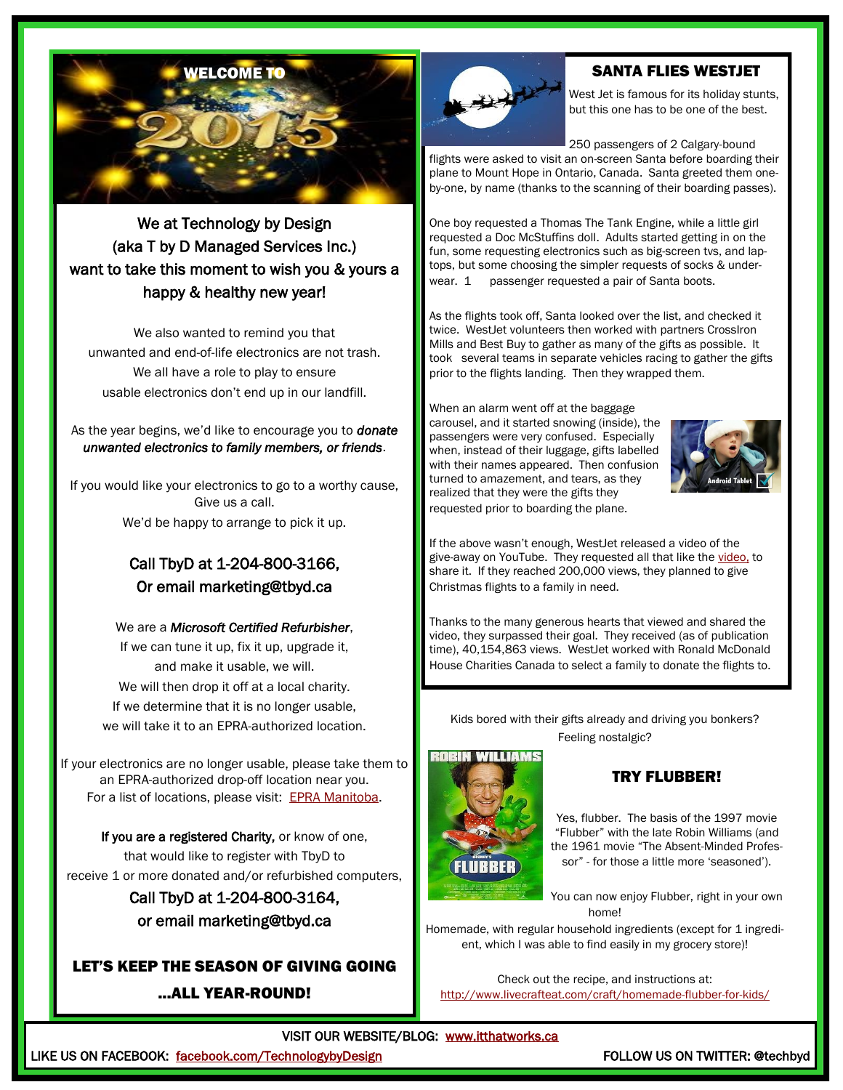

### We at Technology by Design (aka T by D Managed Services Inc.) want to take this moment to wish you & yours a happy & healthy new year!

We also wanted to remind you that unwanted and end-of-life electronics are not trash. We all have a role to play to ensure usable electronics don't end up in our landfill.

#### As the year begins, we'd like to encourage you to *donate unwanted electronics to family members, or friends*.

If you would like your electronics to go to a worthy cause, Give us a call. We'd be happy to arrange to pick it up.

### Call TbyD at 1-204-800-3166, Or email marketing@tbyd.ca

We are a *Microsoft Certified Refurbisher*, If we can tune it up, fix it up, upgrade it, and make it usable, we will. We will then drop it off at a local charity. If we determine that it is no longer usable, we will take it to an EPRA-authorized location.

If your electronics are no longer usable, please take them to an EPRA-authorized drop-off location near you. For a list of locations, please visit: [EPRA Manitoba.](http://epra.ca/how-you-can-help) 

If you are a registered Charity, or know of one, that would like to register with TbyD to receive 1 or more donated and/or refurbished computers,

> Call TbyD at 1-204-800-3164, or email marketing@tbyd.ca

### LET'S KEEP THE SEASON OF GIVING GOING ...ALL YEAR-ROUND!



### SANTA FLIES WESTJET

West Jet is famous for its holiday stunts, but this one has to be one of the best.

250 passengers of 2 Calgary-bound

flights were asked to visit an on-screen Santa before boarding their plane to Mount Hope in Ontario, Canada. Santa greeted them oneby-one, by name (thanks to the scanning of their boarding passes).

One boy requested a Thomas The Tank Engine, while a little girl requested a Doc McStuffins doll. Adults started getting in on the fun, some requesting electronics such as big-screen tvs, and laptops, but some choosing the simpler requests of socks & underwear. 1 passenger requested a pair of Santa boots.

As the flights took off, Santa looked over the list, and checked it twice. WestJet volunteers then worked with partners CrossIron Mills and Best Buy to gather as many of the gifts as possible. It took several teams in separate vehicles racing to gather the gifts prior to the flights landing. Then they wrapped them.

When an alarm went off at the baggage carousel, and it started snowing (inside), the passengers were very confused. Especially when, instead of their luggage, gifts labelled with their names appeared. Then confusion turned to amazement, and tears, as they realized that they were the gifts they requested prior to boarding the plane.



If the above wasn't enough, WestJet released a video of the give-away on YouTube. They requested all that like the [video,](https://www.youtube.com/watch?v=zIEIvi2MuEk) to share it. If they reached 200,000 views, they planned to give Christmas flights to a family in need.

Thanks to the many generous hearts that viewed and shared the video, they surpassed their goal. They received (as of publication time), 40,154,863 views. WestJet worked with Ronald McDonald House Charities Canada to select a family to donate the flights to.

Kids bored with their gifts already and driving you bonkers? Feeling nostalgic?



### TRY FLUBBER!

Yes, flubber. The basis of the 1997 movie "Flubber" with the late Robin Williams (and the 1961 movie "The Absent-Minded Professor" - for those a little more 'seasoned').

You can now enjoy Flubber, right in your own home!

Homemade, with regular household ingredients (except for 1 ingredient, which I was able to find easily in my grocery store)!

Check out the recipe, and instructions at: <http://www.livecrafteat.com/craft/homemade-flubber-for-kids/>

VISIT OUR WEBSITE/BLOG: [www.itthatworks.ca](http://tbyd.ca/) 

LIKE US ON FACEBOOK: <u>facebook.com/TechnologybyDesign</u> FOLLOW US ON TWITTER: @techbyd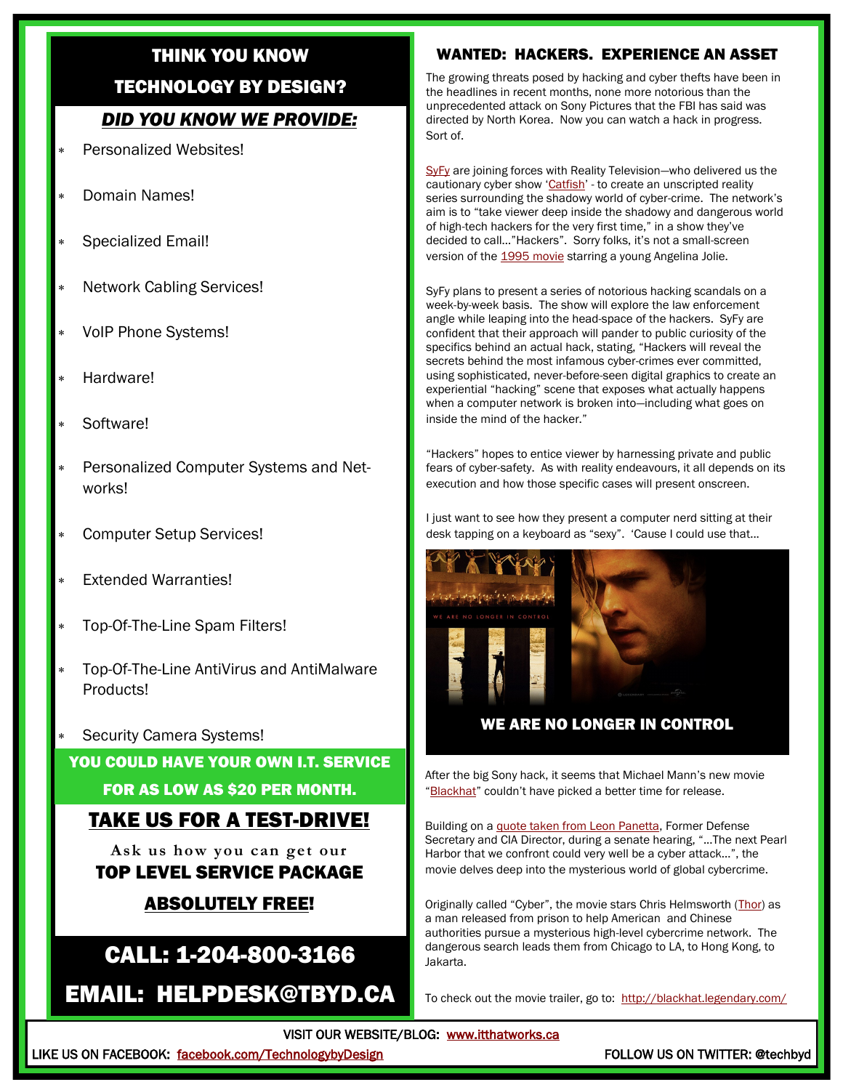### THINK YOU KNOW

#### TECHNOLOGY BY DESIGN?

### *DID YOU KNOW WE PROVIDE:*

- Personalized Websites!
- Domain Names!
- Specialized Email!
- Network Cabling Services!
- VoIP Phone Systems!
- Hardware!
- Software!
- Personalized Computer Systems and Networks!
- Computer Setup Services!
- Extended Warranties!
- Top-Of-The-Line Spam Filters!
- Top-Of-The-Line AntiVirus and AntiMalware Products!
- Security Camera Systems!

### YOU COULD HAVE YOUR OWN I.T. SERVICE

#### FOR AS LOW AS \$20 PER MONTH.

### TAKE US FOR A TEST-DRIVE!

**Ask us how you can get our**  TOP LEVEL SERVICE PACKAGE

### ABSOLUTELY FREE!

### CALL: 1-204-800-3166

EMAIL: HELPDESK@TBYD.CA

#### WANTED: HACKERS. EXPERIENCE AN ASSET

The growing threats posed by hacking and cyber thefts have been in the headlines in recent months, none more notorious than the unprecedented attack on Sony Pictures that the FBI has said was directed by North Korea. Now you can watch a hack in progress. Sort of.

[SyFy](http://www.syfy.com/) are joining forces with Reality Television—who delivered us the cautionary cyber show '[Catfish](https://www.youtube.com/watch?v=CMA4x7aXJT0)' - to create an unscripted reality series surrounding the shadowy world of cyber-crime. The network's aim is to "take viewer deep inside the shadowy and dangerous world of high-tech hackers for the very first time," in a show they've decided to call…"Hackers". Sorry folks, it's not a small-screen version of the [1995 movie](http://www.imdb.com/title/tt0113243/) starring a young Angelina Jolie.

SyFy plans to present a series of notorious hacking scandals on a week-by-week basis. The show will explore the law enforcement angle while leaping into the head-space of the hackers. SyFy are confident that their approach will pander to public curiosity of the specifics behind an actual hack, stating, "Hackers will reveal the secrets behind the most infamous cyber-crimes ever committed, using sophisticated, never-before-seen digital graphics to create an experiential "hacking" scene that exposes what actually happens when a computer network is broken into—including what goes on inside the mind of the hacker."

"Hackers" hopes to entice viewer by harnessing private and public fears of cyber-safety. As with reality endeavours, it all depends on its execution and how those specific cases will present onscreen.

I just want to see how they present a computer nerd sitting at their desk tapping on a keyboard as "sexy". 'Cause I could use that...



#### WE ARE NO LONGER IN CONTROL

After the big Sony hack, it seems that Michael Mann's new movie "[Blackhat](http://blackhat.legendary.com/)" couldn't have picked a better time for release.

Building on a [quote taken from Leon Panetta,](http://www.defense.gov/transcripts/transcript.aspx?transcriptid=5136) Former Defense Secretary and CIA Director, during a senate hearing, "...The next Pearl Harbor that we confront could very well be a cyber attack…", the movie delves deep into the mysterious world of global cybercrime.

Originally called "Cyber", the movie stars Chris Helmsworth ([Thor\)](http://marvel.com/movies/movie/36/thor) as a man released from prison to help American and Chinese authorities pursue a mysterious high-level cybercrime network. The dangerous search leads them from Chicago to LA, to Hong Kong, to Jakarta.

To check out the movie trailer, go to: <http://blackhat.legendary.com/>

VISIT OUR WEBSITE/BLOG: [www.itthatworks.ca](http://tbyd.ca/) 

LIKE US ON FACEBOOK: [facebook.com/TechnologybyDesign](https://www.facebook.com/TechnologyByDesign?ref=hl) FOLLOW US ON TWITTER: @techbyd